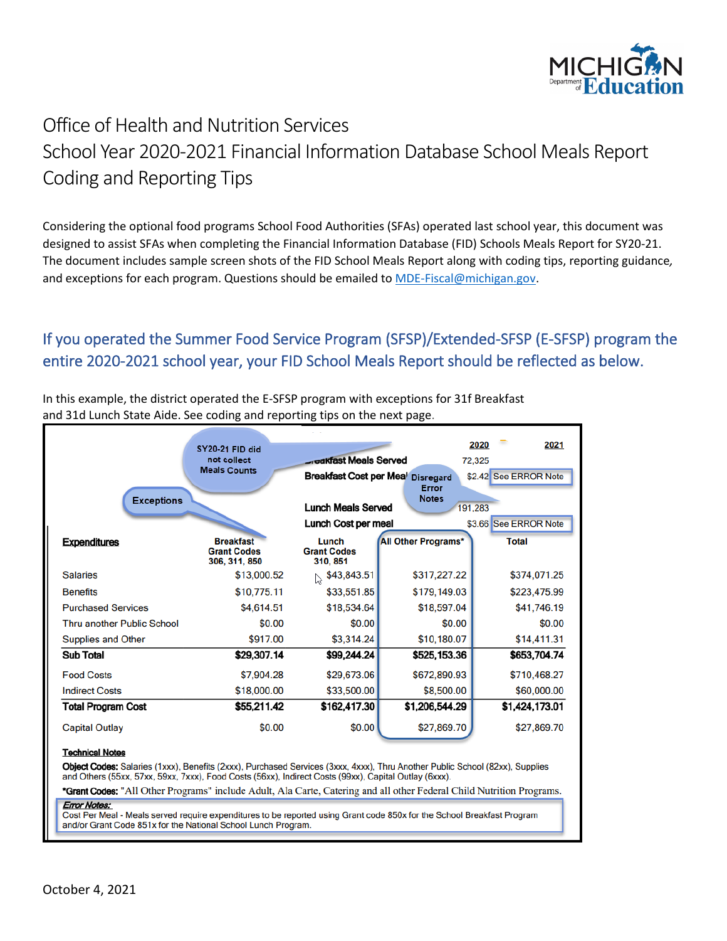

# Office of Health and Nutrition Services School Year 2020-2021 Financial Information Database School Meals Report Coding and Reporting Tips

Considering the optional food programs School Food Authorities (SFAs) operated last school year, this document was designed to assist SFAs when completing the Financial Information Database (FID) Schools Meals Report for SY20-21. The document includes sample screen shots of the FID School Meals Report along with coding tips, reporting guidance*,*  and exceptions for each program. Questions should be emailed to [MDE-Fiscal@michigan.gov.](mailto:MDE-Fiscal@michigan.gov)

# If you operated the Summer Food Service Program (SFSP)/Extended-SFSP (E-SFSP) program the entire 2020-2021 school year, your FID School Meals Report should be reflected as below.

|                                   | SY20-21 FID did<br>not collect<br><b>Meals Counts</b>   | <b>Greakfast Meals Served</b>                                  | Breakfast Cost per Mea' Disregard | 2021<br>2020<br>72,325<br>\$2.42 See ERROR Note |
|-----------------------------------|---------------------------------------------------------|----------------------------------------------------------------|-----------------------------------|-------------------------------------------------|
| <b>Exceptions</b>                 |                                                         | Error<br><b>Notes</b><br><b>Lunch Meals Served</b><br>191,283  |                                   |                                                 |
| <b>Expenditures</b>               | <b>Breakfast</b><br><b>Grant Codes</b><br>306, 311, 850 | Lunch Cost per meal<br>Lunch<br><b>Grant Codes</b><br>310, 851 | All Other Programs*               | \$3.66 See ERROR Note<br><b>Total</b>           |
| <b>Salaries</b>                   | \$13,000.52                                             | \$43,843.51<br>$\lesssim$                                      | \$317,227.22                      | \$374,071.25                                    |
| <b>Benefits</b>                   | \$10,775.11                                             | \$33,551.85                                                    | \$179,149.03                      | \$223,475.99                                    |
| <b>Purchased Services</b>         | \$4,614.51                                              | \$18,534.64                                                    | \$18,597.04                       | \$41,746.19                                     |
| <b>Thru another Public School</b> | \$0.00                                                  | \$0.00                                                         | \$0.00                            | \$0.00                                          |
| <b>Supplies and Other</b>         | \$917.00                                                | \$3,314.24                                                     | \$10,180.07                       | \$14,411.31                                     |
| <b>Sub Total</b>                  | \$29,307.14                                             | \$99,244.24                                                    | \$525,153.36                      | \$653,704.74                                    |
| <b>Food Costs</b>                 | \$7,904.28                                              | \$29,673.06                                                    | \$672,890.93                      | \$710,468.27                                    |
| <b>Indirect Costs</b>             | \$18,000.00                                             | \$33,500.00                                                    | \$8,500.00                        | \$60,000.00                                     |
| <b>Total Program Cost</b>         | \$55,211.42                                             | \$162,417.30                                                   | \$1,206,544.29                    | \$1,424,173.01                                  |
| <b>Capital Outlay</b>             | \$0.00                                                  | \$0.00                                                         | \$27,869.70                       | \$27,869.70                                     |

In this example, the district operated the E-SFSP program with exceptions for 31f Breakfast and 31d Lunch State Aide. See coding and reporting tips on the next page.

and Others (55xx, 57xx, 59xx, 7xxx), Food Costs (56xx), Indirect Costs (99xx), Capital Outlay (6xxx).

\*Grant Codes: "All Other Programs" include Adult, Ala Carte, Catering and all other Federal Child Nutrition Programs.

#### Error Notes:

Cost Per Meal - Meals served require expenditures to be reported using Grant code 850x for the School Breakfast Program and/or Grant Code 851x for the National School Lunch Program.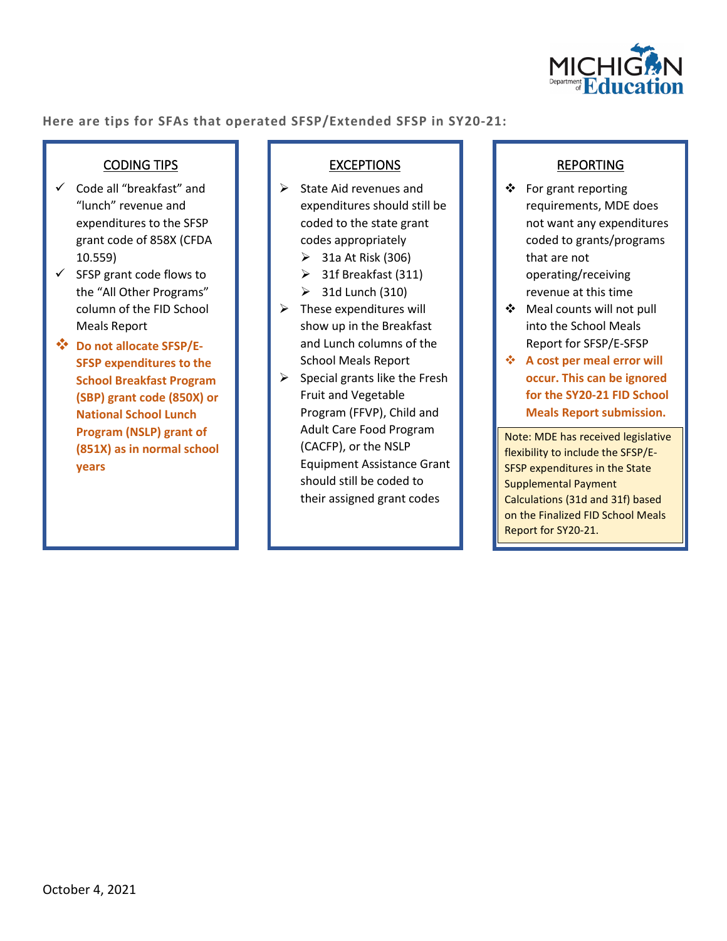

**Here are tips for SFAs that operated SFSP/Extended SFSP in SY20-21:** 

### CODING TIPS

- $\checkmark$  Code all "breakfast" and "lunch" revenue and expenditures to the SFSP grant code of 858X (CFDA 10.559)
- $\checkmark$  SFSP grant code flows to the "All Other Programs" column of the FID School Meals Report
- **Do not allocate SFSP/E-SFSP expenditures to the School Breakfast Program (SBP) grant code (850X) or National School Lunch Program (NSLP) grant of (851X) as in normal school years**

### **EXCEPTIONS**

- $\triangleright$  State Aid revenues and expenditures should still be coded to the state grant codes appropriately
	- $\geq$  31a At Risk (306)
	- $\triangleright$  31f Breakfast (311)
	- $\geq$  31d Lunch (310)
- $\triangleright$  These expenditures will show up in the Breakfast and Lunch columns of the School Meals Report
- $\triangleright$  Special grants like the Fresh Fruit and Vegetable Program (FFVP), Child and Adult Care Food Program (CACFP), or the NSLP Equipment Assistance Grant should still be coded to their assigned grant codes

### REPORTING

- ❖ For grant reporting requirements, MDE does not want any expenditures coded to grants/programs that are not operating/receiving revenue at this time
- Meal counts will not pull into the School Meals Report for SFSP/E-SFSP
- **A cost per meal error will occur. This can be ignored for the SY20-21 FID School Meals Report submission.**

Note: MDE has received legislative flexibility to include the SFSP/E-SFSP expenditures in the State Supplemental Payment Calculations (31d and 31f) based on the Finalized FID School Meals Report for SY20-21.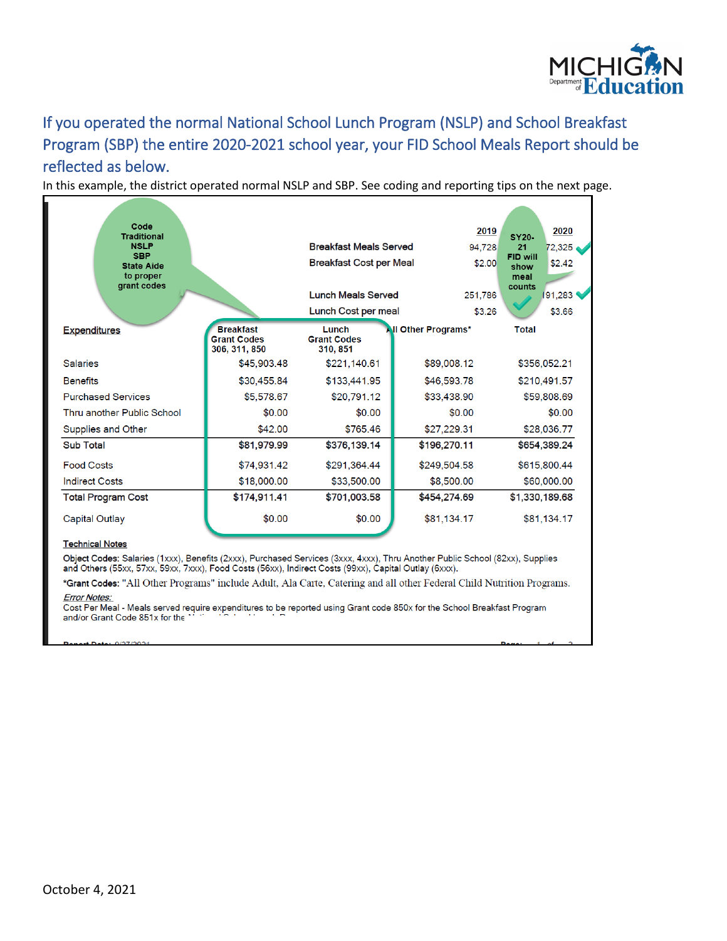

# If you operated the normal National School Lunch Program (NSLP) and School Breakfast Program (SBP) the entire 2020-2021 school year, your FID School Meals Report should be reflected as below.

In this example, the district operated normal NSLP and SBP. See coding and reporting tips on the next page.

| Code<br><b>Traditional</b><br><b>NSLP</b><br><b>SBP</b><br><b>State Aide</b><br>to proper<br>grant codes |                                                         | <b>Breakfast Meals Served</b><br><b>Breakfast Cost per Meal</b><br><b>Lunch Meals Served</b><br>Lunch Cost per meal | 2019<br>94.728<br>\$2.00<br>251,786<br>\$3.26 | 2020<br><b>SY20-</b><br>21<br>72,325<br>FID will<br>\$2.42<br>show<br>meal<br>counts<br>191,283<br>\$3.66 |
|----------------------------------------------------------------------------------------------------------|---------------------------------------------------------|---------------------------------------------------------------------------------------------------------------------|-----------------------------------------------|-----------------------------------------------------------------------------------------------------------|
| <b>Expenditures</b>                                                                                      | <b>Breakfast</b><br><b>Grant Codes</b><br>306, 311, 850 | Lunch<br><b>Grant Codes</b><br>310, 851                                                                             | <b>All Other Programs*</b>                    | <b>Total</b>                                                                                              |
| <b>Salaries</b>                                                                                          | \$45,903.48                                             | \$221,140.61                                                                                                        | \$89,008.12                                   | \$356,052.21                                                                                              |
| <b>Benefits</b>                                                                                          | \$30,455.84                                             | \$133,441.95                                                                                                        | \$46,593.78                                   | \$210,491.57                                                                                              |
| <b>Purchased Services</b>                                                                                | \$5,578.67                                              | \$20,791.12                                                                                                         | \$33,438.90                                   | \$59,808.69                                                                                               |
| Thru another Public School                                                                               | \$0.00                                                  | \$0.00                                                                                                              | \$0.00                                        | \$0.00                                                                                                    |
| Supplies and Other                                                                                       | \$42.00                                                 | \$765.46                                                                                                            | \$27,229.31                                   | \$28,036.77                                                                                               |
| Sub Total                                                                                                | \$81,979.99                                             | \$376,139.14                                                                                                        | \$196,270.11                                  | \$654,389.24                                                                                              |
| <b>Food Costs</b>                                                                                        | \$74,931.42                                             | \$291,364.44                                                                                                        | \$249,504.58                                  | \$615,800.44                                                                                              |
| <b>Indirect Costs</b>                                                                                    | \$18,000.00                                             | \$33,500.00                                                                                                         | \$8,500.00                                    | \$60,000.00                                                                                               |
| <b>Total Program Cost</b>                                                                                | \$174,911.41                                            | \$701,003.58                                                                                                        | \$454,274.69                                  | \$1,330,189.68                                                                                            |
| Capital Outlay                                                                                           | \$0.00                                                  | \$0.00                                                                                                              | \$81,134.17                                   | \$81,134.17                                                                                               |

#### **Technical Notes**

Object Codes: Salaries (1xxx), Benefits (2xxx), Purchased Services (3xxx, 4xxx), Thru Another Public School (82xx), Supplies and Others (55xx, 57xx, 59xx, 7xxx), Food Costs (56xx), Indirect Costs (99xx), Capital Outlay (6x

\*Grant Codes: "All Other Programs" include Adult, Ala Carte, Catering and all other Federal Child Nutrition Programs.

Error Notes:<br>Cost Per Meal - Meals served require expenditures to be reported using Grant code 850x for the School Breakfast Program and/or Grant Code 851x for the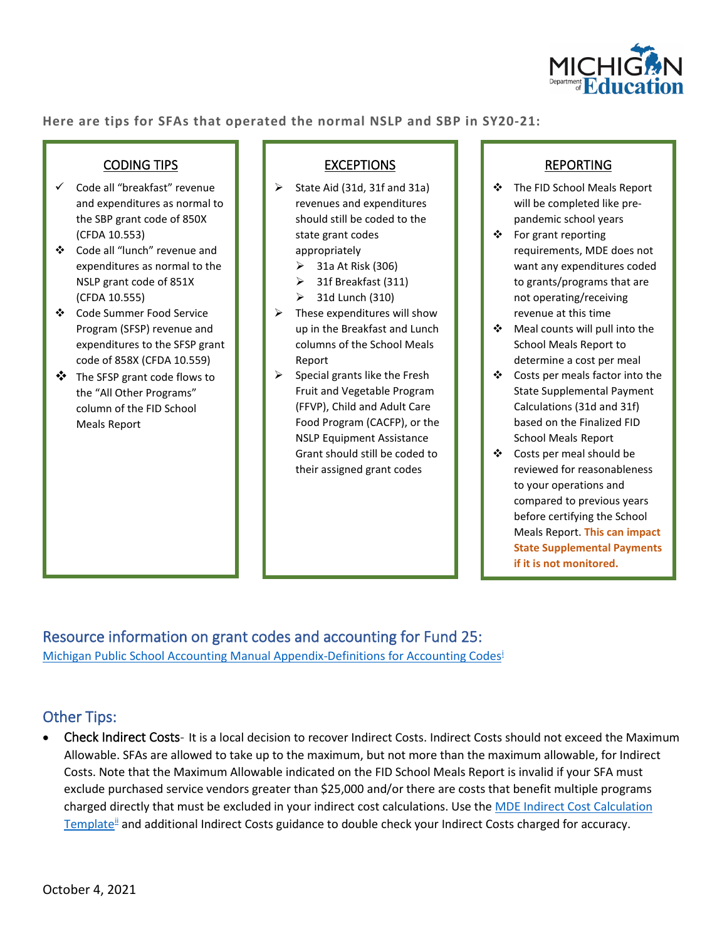

**Here are tips for SFAs that operated the normal NSLP and SBP in SY20-21:** 

### CODING TIPS

- $\checkmark$  Code all "breakfast" revenue and expenditures as normal to the SBP grant code of 850X (CFDA 10.553)
- Code all "lunch" revenue and expenditures as normal to the NSLP grant code of 851X (CFDA 10.555)
- Code Summer Food Service Program (SFSP) revenue and expenditures to the SFSP grant code of 858X (CFDA 10.559)
- The SFSP grant code flows to the "All Other Programs" column of the FID School Meals Report

### EXCEPTIONS

- $\triangleright$  State Aid (31d, 31f and 31a) revenues and expenditures should still be coded to the state grant codes appropriately
	- $\geq$  31a At Risk (306)
	- $\geq$  31f Breakfast (311)
	- $\geq$  31d Lunch (310)
- $\triangleright$  These expenditures will show up in the Breakfast and Lunch columns of the School Meals Report
- $\triangleright$  Special grants like the Fresh Fruit and Vegetable Program (FFVP), Child and Adult Care Food Program (CACFP), or the NSLP Equipment Assistance Grant should still be coded to their assigned grant codes

### REPORTING

- The FID School Meals Report will be completed like prepandemic school years
- ❖ For grant reporting requirements, MDE does not want any expenditures coded to grants/programs that are not operating/receiving revenue at this time
- Meal counts will pull into the School Meals Report to determine a cost per meal
- Costs per meals factor into the State Supplemental Payment Calculations (31d and 31f) based on the Finalized FID School Meals Report
- Costs per meal should be reviewed for reasonableness to your operations and compared to previous years before certifying the School Meals Report. **This can impact State Supplemental Payments if it is not monitored.**

Resource information on grant codes and accounting for Fund 25: Michigan Public School Accounting Manual Appendix-Definitions for Accounting Codes<sup>i</sup>

## Other Tips:

• Check Indirect Costs- It is a local decision to recover Indirect Costs. Indirect Costs should not exceed the Maximum Allowable. SFAs are allowed to take up to the maximum, but not more than the maximum allowable, for Indirect Costs. Note that the Maximum Allowable indicated on the FID School Meals Report is invalid if your SFA must exclude purchased service vendors greater than \$25,000 and/or there are costs that benefit multiple programs charged directly that must be excluded in your indirect cost calculations. Use the [MDE Indirect Cost Calculation](https://www.michigan.gov/documents/mde/MDE_Indirect_Cost_Calculations_Template_688170_7.xlsx)  Template<sup>l[i](#page-6-1)</sup> and additional Indirect Costs guidance to double check your Indirect Costs charged for accuracy.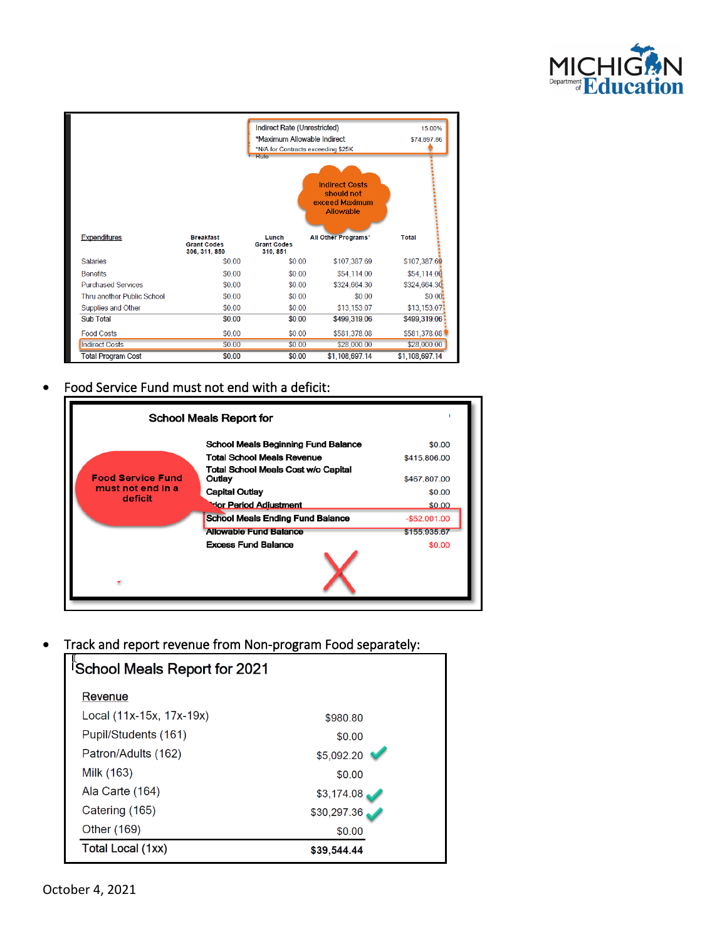



### Food Service Fund must not end with a deficit:



• Track and report revenue from Non-program Food separately:

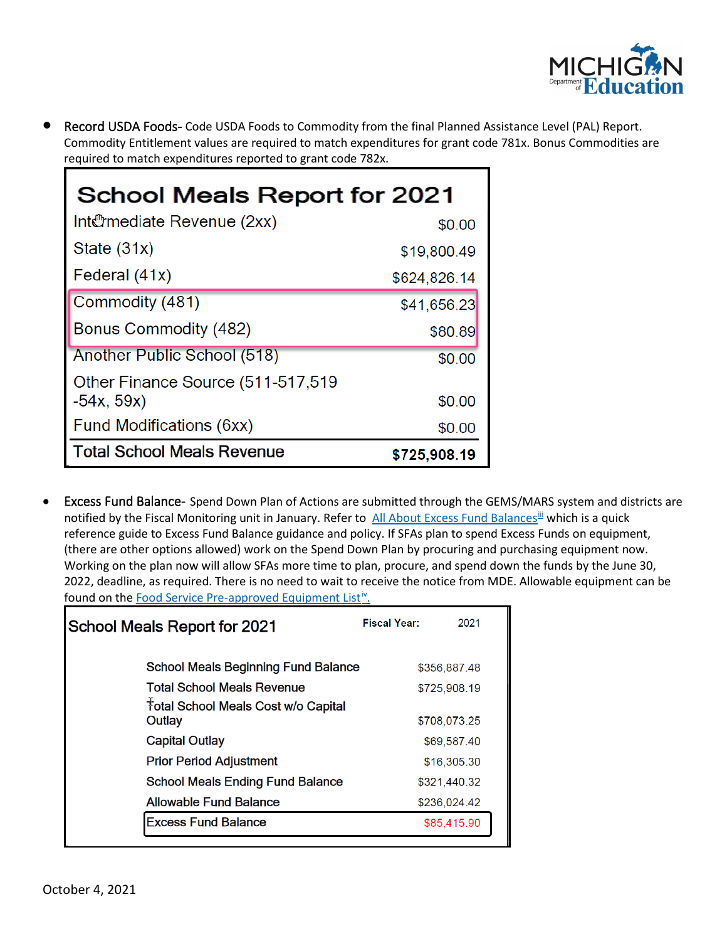

• Record USDA Foods- Code USDA Foods to Commodity from the final Planned Assistance Level (PAL) Report. Commodity Entitlement values are required to match expenditures for grant code 781x. Bonus Commodities are required to match expenditures reported to grant code 782x.

| <b>School Meals Report for 2021</b> |              |  |  |  |  |
|-------------------------------------|--------------|--|--|--|--|
| Int@mediate Revenue (2xx)           | \$0.00       |  |  |  |  |
| State $(31x)$                       | \$19,800.49  |  |  |  |  |
| Federal (41x)                       | \$624,826.14 |  |  |  |  |
| Commodity (481)                     | \$41,656.23  |  |  |  |  |
| Bonus Commodity (482)               | \$80.89      |  |  |  |  |
| Another Public School (518)         | \$0.00       |  |  |  |  |
| Other Finance Source (511-517,519)  |              |  |  |  |  |
| $-54x, 59x)$                        | \$0.00       |  |  |  |  |
| Fund Modifications (6xx)            | \$0.00       |  |  |  |  |
| <b>Total School Meals Revenue</b>   | \$725,908.19 |  |  |  |  |

• Excess Fund Balance- Spend Down Plan of Actions are submitted through the GEMS/MARS system and districts are notified by the Fiscal Monitoring unit in January. Refer to [All About Excess Fund](https://gcc01.safelinks.protection.outlook.com/?url=https%3A%2F%2Flnks.gd%2Fl%2FeyJhbGciOiJIUzI1NiJ9.eyJidWxsZXRpbl9saW5rX2lkIjoxMDYsInVyaSI6ImJwMjpjbGljayIsImJ1bGxldGluX2lkIjoiMjAyMDA1MjEuMjE4NjM0NTEiLCJ1cmwiOiJodHRwczovL3d3dy5taWNoaWdhbi5nb3YvZG9jdW1lbnRzL21kZS9BbGxfQWJvdXRfRXhjZXNzX0Z1bmRfQmFsYW5jZXNfNjgzMzE1XzcucGRmIn0.yEZIb7FMLoj4bhOHBBTIhUf4ZUR61t6_jD5BBhEx_pk%2Fbr%2F78955462953-l&data=02%7C01%7Csweatmanb%40michigan.gov%7Cc737c250315b4897f5cc08d7fdc4de4b%7Cd5fb7087377742ad966a892ef47225d1%7C0%7C0%7C637256894293591345&sdata=1l7lXUFBYYR5EQIFGvmvhCaS63B1UFNaIhFPehr44Is%3D&reserved=0) Balances<sup>[iii](#page-6-2)</sup> which is a quick reference guide to Excess Fund Balance guidance and policy. If SFAs plan to spend Excess Funds on equipment, (there are other options allowed) work on the Spend Down Plan by procuring and purchasing equipment now. Working on the plan now will allow SFAs more time to plan, procure, and spend down the funds by the June 30, 2022, deadline, as required. There is no need to wait to receive the notice from MDE. Allowable equipment can be found on the Food Service Pre-approved Equipment List<sup>iv</sup>.

| <b>School Meals Report for 2021</b>                       | <b>Fiscal Year:</b> | 2021         |
|-----------------------------------------------------------|---------------------|--------------|
| <b>School Meals Beginning Fund Balance</b>                |                     | \$356,887.48 |
| <b>Total School Meals Revenue</b>                         |                     | \$725,908.19 |
| <sup>†</sup> otal School Meals Cost w/o Capital<br>Outlay |                     | \$708,073.25 |
| <b>Capital Outlay</b>                                     |                     | \$69,587.40  |
| <b>Prior Period Adjustment</b>                            |                     | \$16,305.30  |
| <b>School Meals Ending Fund Balance</b>                   |                     | \$321,440.32 |
| Allowable Fund Balance                                    |                     | \$236,024.42 |
| <b>Excess Fund Balance</b>                                |                     | \$85,415.90  |
|                                                           |                     |              |